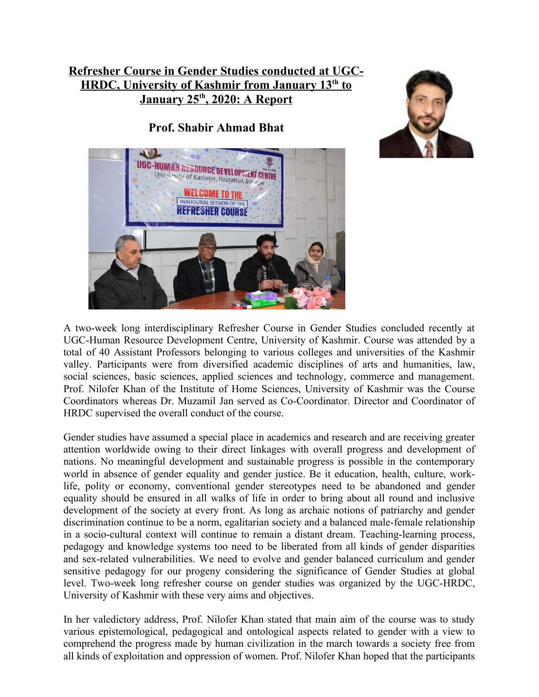## **Refresher Course in Gender Studies conducted at UGC- HRDC, University of Kashmir from January 13th to January 25th , 2020: A Report**

**Prof. Shabir Ahmad Bhat**





A two-week long interdisciplinary Refresher Course in Gender Studies concluded recently at UGC-Human Resource Development Centre, University of Kashmir. Course was attended by a total of 40 Assistant Professors belonging to various colleges and universities of the Kashmir valley. Participants were from diversified academic disciplines of arts and humanities, law, social sciences, basic sciences, applied sciences and technology, commerce and management. Prof. Nilofer Khan of the Institute of Home Sciences, University of Kashmir was the Course Coordinators whereas Dr. Muzamil Jan served as Co-Coordinator. Director and Coordinator of HRDC supervised the overall conduct of the course.

Gender studies have assumed a special place in academics and research and are receiving greater attention worldwide owing to their direct linkages with overall progress and development of nations. No meaningful development and sustainable progress is possible in the contemporary world in absence of gender equality and gender justice. Be it education, health, culture, worklife, polity or economy, conventional gender stereotypes need to be abandoned and gender equality should be ensured in all walks of life in order to bring about all round and inclusive development of the society at every front. As long as archaic notions of patriarchy and gender discrimination continue to be a norm, egalitarian society and a balanced male-female relationship in a socio-cultural context will continue to remain a distant dream. Teaching-learning process, pedagogy and knowledge systems too need to be liberated from all kinds of gender disparities and sex-related vulnerabilities. We need to evolve and gender balanced curriculum and gender sensitive pedagogy for our progeny considering the significance of Gender Studies at global level. Two-week long refresher course on gender studies was organized by the UGC-HRDC, University of Kashmir with these very aims and objectives.

In her valedictory address, Prof. Nilofer Khan stated that main aim of the course was to study various epistemological, pedagogical and ontological aspects related to gender with a view to comprehend the progress made by human civilization in the march towards a society free from all kinds of exploitation and oppression of women. Prof. Nilofer Khan hoped that the participants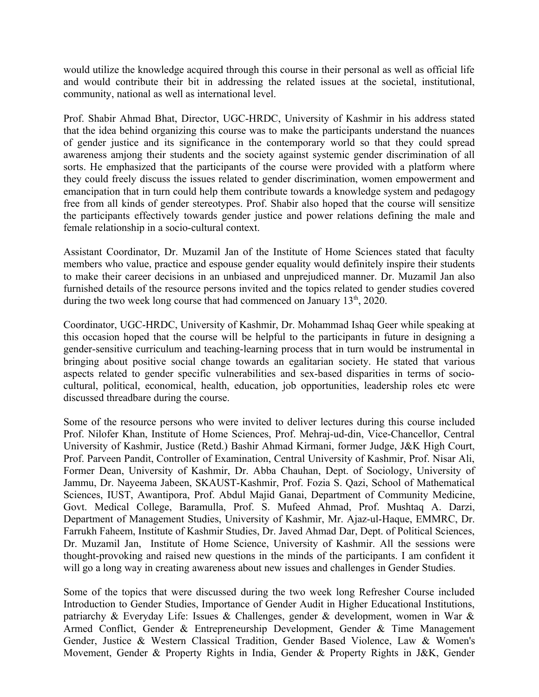would utilize the knowledge acquired through this course in their personal as well as official life and would contribute their bit in addressing the related issues at the societal, institutional, community, national as well as international level.

Prof. Shabir Ahmad Bhat, Director, UGC-HRDC, University of Kashmir in his address stated that the idea behind organizing this course was to make the participants understand the nuances of gender justice and its significance in the contemporary world so that they could spread awareness amjong their students and the society against systemic gender discrimination of all sorts. He emphasized that the participants of the course were provided with a platform where they could freely discuss the issues related to gender discrimination, women empowerment and emancipation that in turn could help them contribute towards a knowledge system and pedagogy free from all kinds of gender stereotypes. Prof. Shabir also hoped that the course will sensitize the participants effectively towards gender justice and power relations defining the male and female relationship in a socio-cultural context.

Assistant Coordinator, Dr. Muzamil Jan of the Institute of Home Sciences stated that faculty members who value, practice and espouse gender equality would definitely inspire their students to make their career decisions in an unbiased and unprejudiced manner. Dr. Muzamil Jan also furnished details of the resource persons invited and the topics related to gender studies covered during the two week long course that had commenced on January 13<sup>th</sup>, 2020.

Coordinator, UGC-HRDC, University of Kashmir, Dr. Mohammad Ishaq Geer while speaking at this occasion hoped that the course will be helpful to the participants in future in designing a gender-sensitive curriculum and teaching-learning process that in turn would be instrumental in bringing about positive social change towards an egalitarian society. He stated that various aspects related to gender specific vulnerabilities and sex-based disparities in terms of sociocultural, political, economical, health, education, job opportunities, leadership roles etc were discussed threadbare during the course.

Some of the resource persons who were invited to deliver lectures during this course included Prof. Nilofer Khan, Institute of Home Sciences, Prof. Mehraj-ud-din, Vice-Chancellor, Central University of Kashmir, Justice (Retd.) Bashir Ahmad Kirmani, former Judge, J&K High Court, Prof. Parveen Pandit, Controller of Examination, Central University of Kashmir, Prof. Nisar Ali, Former Dean, University of Kashmir, Dr. Abba Chauhan, Dept. of Sociology, University of Jammu, Dr. Nayeema Jabeen, SKAUST-Kashmir, Prof. Fozia S. Qazi, School of Mathematical Sciences, IUST, Awantipora, Prof. Abdul Majid Ganai, Department of Community Medicine, Govt. Medical College, Baramulla, Prof. S. Mufeed Ahmad, Prof. Mushtaq A. Darzi, Department of Management Studies, University of Kashmir, Mr. Ajaz-ul-Haque, EMMRC, Dr. Farrukh Faheem, Institute of Kashmir Studies, Dr. Javed Ahmad Dar, Dept. of Political Sciences, Dr. Muzamil Jan, Institute of Home Science, University of Kashmir. All the sessions were thought-provoking and raised new questions in the minds of the participants. I am confident it will go a long way in creating awareness about new issues and challenges in Gender Studies.

Some of the topics that were discussed during the two week long Refresher Course included Introduction to Gender Studies, Importance of Gender Audit in Higher Educational Institutions, patriarchy & Everyday Life: Issues & Challenges, gender & development, women in War & Armed Conflict, Gender & Entrepreneurship Development, Gender & Time Management Gender, Justice & Western Classical Tradition, Gender Based Violence, Law & Women's Movement, Gender & Property Rights in India, Gender & Property Rights in J&K, Gender